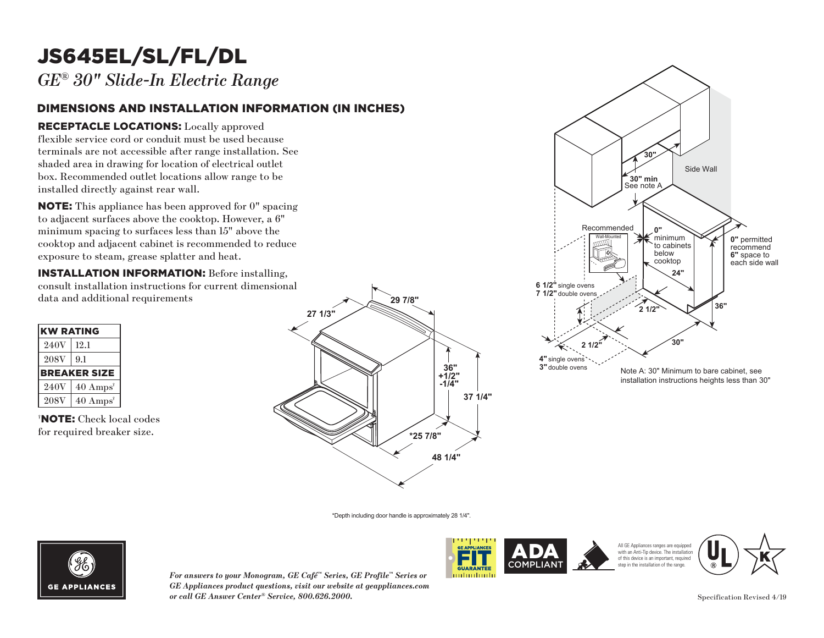## JS645EL/SL/FL/DL

*GE® 30" Slide-In Electric Range*

### DIMENSIONS AND INSTALLATION INFORMATION (IN INCHES)

### RECEPTACLE LOCATIONS: Locally approved

flexible service cord or conduit must be used because terminals are not accessible after range installation. See **30"** shaded area in drawing for location of electrical outlet box. Recommended outlet locations allow range to be installed directly against rear wall. must be used becauter range installation<br>tion of electrical out<br>tions allow range to<br>wall.<br>n approved for 0" sp<br>cooktop. However, a **30" min**

NOTE: This appliance has been approved for 0" spacing to adjacent surfaces above the cooktop. However, a 6"  $\min$  spacing to surfaces less than  $15"$  above the minimum spacing to sarraces ress than 15 associate exposure to steam, grease splatter and heat. ase sp Recommended

**INSTALLATION INFORMATION:** Before installing, consult installation instructions for current dimensional data and additional requirements

| <b>KW RATING</b> |                             |
|------------------|-----------------------------|
| 240V             | 12.1                        |
| <b>208V</b>      | 9.1                         |
|                  | <b>BREAKER SIZE</b>         |
| 240V             | $40 \text{ Amps}^{\dagger}$ |
| <b>208V</b>      | $40 \text{ Amps}^{\dagger}$ |

† NOTE: Check local codes for required breaker size.





\*Depth including door handle is approximately 28 1/4".



*For answers to your Monogram, GE Café™ Series, GE Profile™ Series or GE Appliances product questions, visit our website at geappliances.com or call GE Answer Center® Service, 800.626.2000.* Specification Revised 4/19